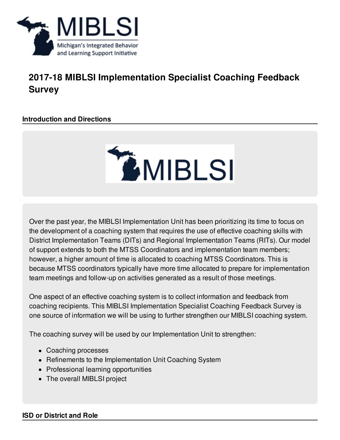

# **2017-18 MIBLSI Implementation Specialist Coaching Feedback Survey**

# **Introduction and Directions**



Over the past year, the MIBLSI Implementation Unit has been prioritizing its time to focus on the development of a coaching system that requires the use of effective coaching skills with District Implementation Teams (DITs) and Regional Implementation Teams (RITs). Our model of support extends to both the MTSS Coordinators and implementation team members; however, a higher amount of time is allocated to coaching MTSS Coordinators. This is because MTSS coordinators typically have more time allocated to prepare for implementation team meetings and follow-up on activities generated as a result of those meetings.

One aspect of an effective coaching system is to collect information and feedback from coaching recipients. This MIBLSI Implementation Specialist Coaching Feedback Survey is one source of information we will be using to further strengthen our MIBLSI coaching system.

The coaching survey will be used by our Implementation Unit to strengthen:

- Coaching processes
- Refinements to the Implementation Unit Coaching System
- Professional learning opportunities
- The overall MIBLSI project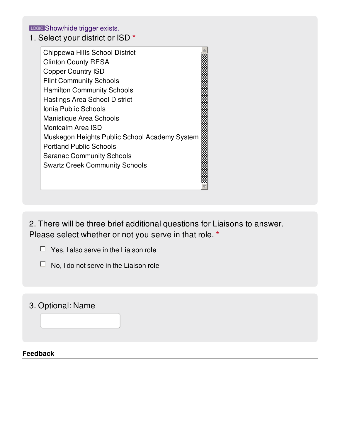LCCCC Show/hide trigger exists.

1. Select your district or ISD **\***

Chippewa Hills School District Clinton County RESA Copper Country ISD Flint Community Schools Hamilton Community Schools Hastings Area School District Ionia Public Schools Manistique Area Schools Montcalm Area ISD Chippewa Hills School District<br>
Clinton Country RESA<br>
Copper Country ISD<br>
Flint Community Schools<br>
Hamilton Community Schools<br>
Hastings Area School District<br>
Ionia Public Schools<br>
Manistique Area Schools<br>
Montcalm Area ISD Portland Public Schools Saranac Community Schools Swartz Creek Community Schools

2. There will be three brief additional questions for Liaisons to answer. Please select whether or not you serve in that role. **\***

- $\Box$  Yes, I also serve in the Liaison role
- $\Box$  No, I do not serve in the Liaison role
- 3. Optional: Name

### **Feedback**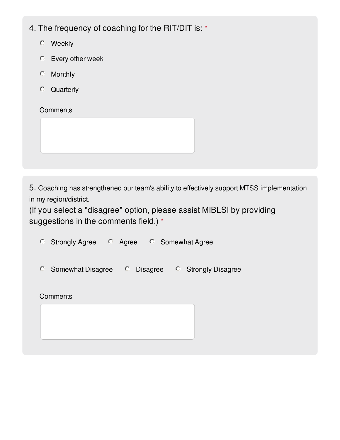| 4. The frequency of coaching for the RIT/DIT is: * |  |  |  |
|----------------------------------------------------|--|--|--|
|                                                    |  |  |  |

- Weekly
- Every other week
- **Monthly**  $\bullet$
- Quarterly

**Comments** 

5. Coaching has strengthened our team's ability to effectively support MTSS implementation in my region/district.

(If you select a "disagree" option, please assist MIBLSI by providing suggestions in the comments field.) **\***

| $\circ$<br><b>Strongly Agree</b> | <b>O</b> Agree             | <b>C</b> Somewhat Agree    |
|----------------------------------|----------------------------|----------------------------|
| $\circ$<br>Somewhat Disagree     | $\circ$<br><b>Disagree</b> | <b>C</b> Strongly Disagree |
| Comments                         |                            |                            |
|                                  |                            |                            |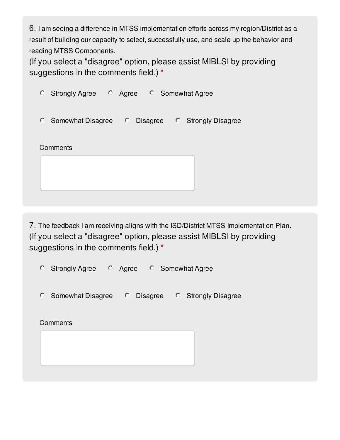6. I am seeing a difference in MTSS implementation efforts across my region/District as a result of building our capacity to select, successfully use, and scale up the behavior and reading MTSS Components.

(If you select a "disagree" option, please assist MIBLSI by providing suggestions in the comments field.) **\***

| $\circ$<br><b>Strongly Agree</b> | <b>C</b> Agree <b>C</b> Somewhat Agree |                            |
|----------------------------------|----------------------------------------|----------------------------|
| $\circ$<br>Somewhat Disagree     | $\circ$<br>Disagree                    | <b>C</b> Strongly Disagree |
| Comments                         |                                        |                            |

7. The feedback I am receiving aligns with the ISD/District MTSS Implementation Plan. (If you select a "disagree" option, please assist MIBLSI by providing suggestions in the comments field.) **\***

| <b>Strongly Agree</b><br>$\circ$ | <b>C</b> Agree <b>C</b> Somewhat Agree |                            |
|----------------------------------|----------------------------------------|----------------------------|
| $\circ$<br>Somewhat Disagree     | $\circ$<br>Disagree                    | <b>C</b> Strongly Disagree |
| Comments                         |                                        |                            |
|                                  |                                        |                            |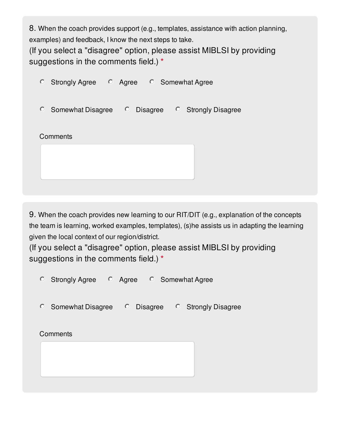8. When the coach provides support (e.g., templates, assistance with action planning, examples) and feedback, I know the next steps to take.

(If you select a "disagree" option, please assist MIBLSI by providing suggestions in the comments field.) **\***

| $\circ$<br><b>Strongly Agree</b> | $\circ$ Agree | <b>C</b> Somewhat Agree                 |
|----------------------------------|---------------|-----------------------------------------|
| $\circ$<br>Somewhat Disagree     | $\circ$       | Disagree <sup>O</sup> Strongly Disagree |
| Comments                         |               |                                         |
|                                  |               |                                         |

9. When the coach provides new learning to our RIT/DIT (e.g., explanation of the concepts the team is learning, worked examples, templates), (s)he assists us in adapting the learning given the local context of our region/district.

(If you select a "disagree" option, please assist MIBLSI by providing suggestions in the comments field.) **\***

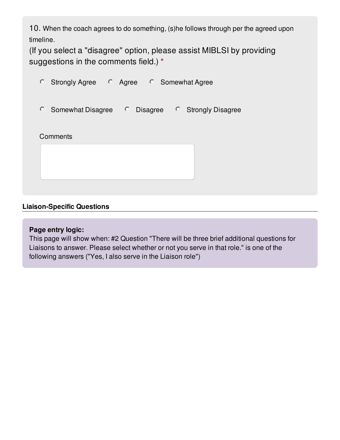10. When the coach agrees to do something, (s)he follows through per the agreed upon timeline.

(If you select a "disagree" option, please assist MIBLSI by providing suggestions in the comments field.) **\***

| <b>C</b> Strongly Agree    | $\circ$ Agree $\circ$ Somewhat Agree |                            |
|----------------------------|--------------------------------------|----------------------------|
| <b>C</b> Somewhat Disagree | Disagree<br>$\circ$                  | <b>C</b> Strongly Disagree |
| Comments                   |                                      |                            |
|                            |                                      |                            |
|                            |                                      |                            |

## **Liaison-Specific Questions**

### **Page entry logic:**

This page will show when: #2 Question "There will be three brief additional questions for Liaisons to answer. Please select whether or not you serve in that role." is one of the following answers ("Yes, I also serve in the Liaison role")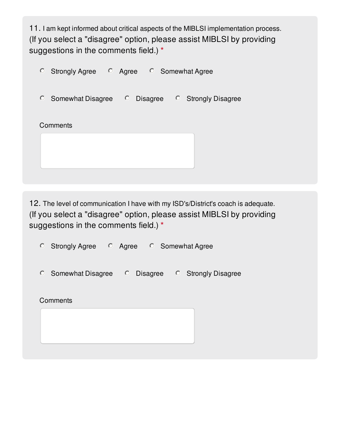11. I am kept informed about critical aspects of the MIBLSI implementation process. (If you select a "disagree" option, please assist MIBLSI by providing suggestions in the comments field.) **\***



12. The level of communication I have with my ISD's/District's coach is adequate. (If you select a "disagree" option, please assist MIBLSI by providing suggestions in the comments field.) **\***

 $\circ$  Strongly Agree  $\circ$  Agree  $\circ$  Somewhat Agree

| Somewhat Disagree | Disagree | <b>Strongly Disagree</b> |
|-------------------|----------|--------------------------|
|                   |          |                          |

**Comments**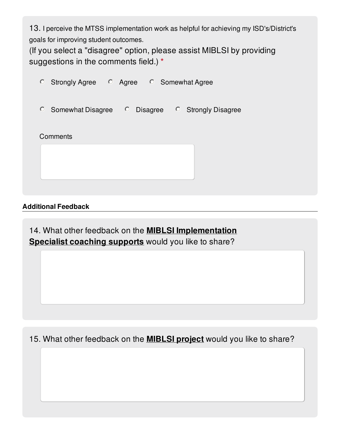13. I perceive the MTSS implementation work as helpful for achieving my ISD's/District's goals for improving student outcomes.

(If you select a "disagree" option, please assist MIBLSI by providing suggestions in the comments field.) **\***

| $\circ$<br><b>Strongly Agree</b> | $\circ$ Agree $\circ$ Somewhat Agree |                                         |
|----------------------------------|--------------------------------------|-----------------------------------------|
| $\circ$<br>Somewhat Disagree     | $\circ$                              | Disagree <sup>O</sup> Strongly Disagree |
| Comments                         |                                      |                                         |
|                                  |                                      |                                         |

## **Additional Feedback**

14. What other feedback on the **MIBLSI Implementation Specialist coaching supports** would you like to share?

15. What other feedback on the **MIBLSI project** would you like to share?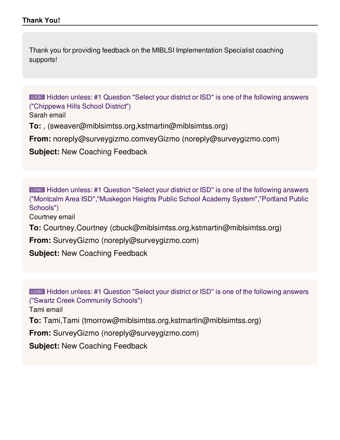Thank you for providing feedback on the MIBLSI Implementation Specialist coaching supports!

Hidden unless: #1 Question "Select your district or ISD" is one of the following answers ("Chippewa Hills School District")

Sarah email

**To:** , (sweaver@miblsimtss.org,kstmartin@miblsimtss.org)

**From:** noreply@surveygizmo.comveyGizmo (noreply@surveygizmo.com)

**Subject:** New Coaching Feedback

Hidden unless: #1 Question "Select your district or ISD" is one of the following answers ("Montcalm Area ISD","Muskegon Heights Public School Academy System","Portland Public Schools")

Courtney email

**To:** Courtney,Courtney (cbuck@miblsimtss.org,kstmartin@miblsimtss.org)

**From:** SurveyGizmo (noreply@surveygizmo.com)

**Subject:** New Coaching Feedback

Hidden unless: #1 Question "Select your district or ISD" is one of the following answers ("Swartz Creek Community Schools")

Tami email

**To:** Tami,Tami (tmorrow@miblsimtss.org,kstmartin@miblsimtss.org)

**From:** SurveyGizmo (noreply@surveygizmo.com)

**Subject:** New Coaching Feedback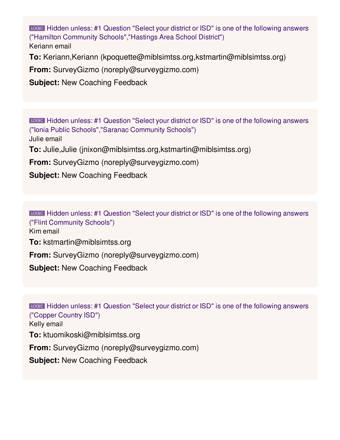Keriann email Hidden unless: #1 Question "Select your district or ISD" is one of the following answers ("Hamilton Community Schools","Hastings Area School District")

**To:** Keriann,Keriann (kpoquette@miblsimtss.org,kstmartin@miblsimtss.org)

**From:** SurveyGizmo (noreply@surveygizmo.com)

**Subject:** New Coaching Feedback

Julie email **To:** Julie,Julie (jnixon@miblsimtss.org,kstmartin@miblsimtss.org) **From:** SurveyGizmo (noreply@surveygizmo.com) **Subject:** New Coaching Feedback Hidden unless: #1 Question "Select your district or ISD" is one of the following answers ("Ionia Public Schools","Saranac Community Schools")

LOGIC Hidden unless: #1 Question "Select your district or ISD" is one of the following answers ("Flint Community Schools")

Kim email

**To:** kstmartin@miblsimtss.org

**From:** SurveyGizmo (noreply@surveygizmo.com)

**Subject:** New Coaching Feedback

Kelly email **To:** ktuomikoski@miblsimtss.org **From:** SurveyGizmo (noreply@surveygizmo.com) **Subject:** New Coaching Feedback Hidden unless: #1 Question "Select your district or ISD" is one of the following answers ("Copper Country ISD")